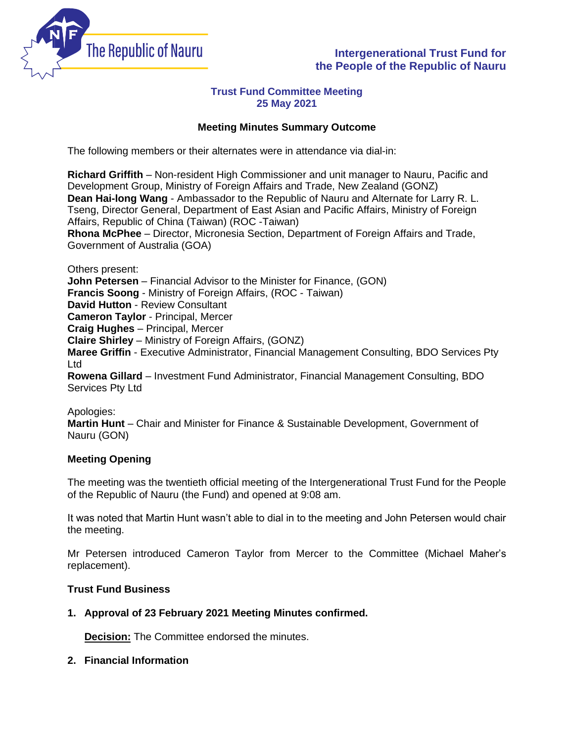

# **Intergenerational Trust Fund for the People of the Republic of Nauru**

## **Trust Fund Committee Meeting 25 May 2021**

## **Meeting Minutes Summary Outcome**

The following members or their alternates were in attendance via dial-in:

**Richard Griffith** – Non-resident High Commissioner and unit manager to Nauru, Pacific and Development Group, Ministry of Foreign Affairs and Trade, New Zealand (GONZ) **Dean Hai-long Wang** - Ambassador to the Republic of Nauru and Alternate for Larry R. L. Tseng, Director General, Department of East Asian and Pacific Affairs, Ministry of Foreign Affairs, Republic of China (Taiwan) (ROC -Taiwan) **Rhona McPhee** – Director, Micronesia Section, Department of Foreign Affairs and Trade,

Government of Australia (GOA)

Others present:

**John Petersen** – Financial Advisor to the Minister for Finance, (GON)

**Francis Soong** - Ministry of Foreign Affairs, (ROC - Taiwan)

**David Hutton** - Review Consultant

**Cameron Taylor** - Principal, Mercer

**Craig Hughes** – Principal, Mercer

**Claire Shirley** – Ministry of Foreign Affairs, (GONZ)

**Maree Griffin** - Executive Administrator, Financial Management Consulting, BDO Services Pty Ltd

**Rowena Gillard** – Investment Fund Administrator, Financial Management Consulting, BDO Services Pty Ltd

Apologies: **Martin Hunt** – Chair and Minister for Finance & Sustainable Development, Government of Nauru (GON)

## **Meeting Opening**

The meeting was the twentieth official meeting of the Intergenerational Trust Fund for the People of the Republic of Nauru (the Fund) and opened at 9:08 am.

It was noted that Martin Hunt wasn't able to dial in to the meeting and John Petersen would chair the meeting.

Mr Petersen introduced Cameron Taylor from Mercer to the Committee (Michael Maher's replacement).

### **Trust Fund Business**

### **1. Approval of 23 February 2021 Meeting Minutes confirmed.**

**Decision:** The Committee endorsed the minutes.

### **2. Financial Information**